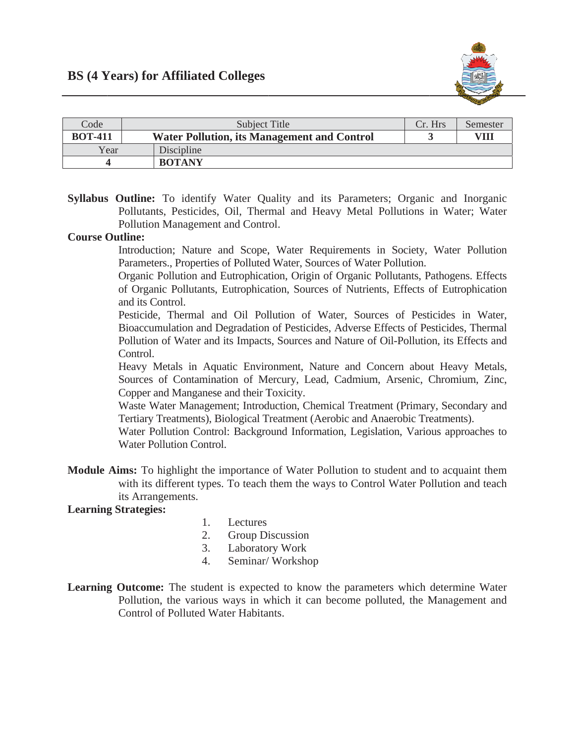

| Code           | Subject Title                                      | Cr. Hrs | Semester |
|----------------|----------------------------------------------------|---------|----------|
| <b>BOT-411</b> | <b>Water Pollution, its Management and Control</b> |         | VII      |
| Year           | Discipline                                         |         |          |
|                | <b>BOTANY</b>                                      |         |          |

Syllabus Outline: To identify Water Quality and its Parameters; Organic and Inorganic Pollutants, Pesticides, Oil, Thermal and Heavy Metal Pollutions in Water; Water Pollution Management and Control.

## **Course Outline:**

Introduction; Nature and Scope, Water Requirements in Society, Water Pollution Parameters., Properties of Polluted Water, Sources of Water Pollution.

Organic Pollution and Eutrophication, Origin of Organic Pollutants, Pathogens. Effects of Organic Pollutants, Eutrophication, Sources of Nutrients, Effects of Eutrophication and its Control.

Pesticide, Thermal and Oil Pollution of Water, Sources of Pesticides in Water, Bioaccumulation and Degradation of Pesticides, Adverse Effects of Pesticides, Thermal Pollution of Water and its Impacts, Sources and Nature of Oil-Pollution, its Effects and Control.

Heavy Metals in Aquatic Environment, Nature and Concern about Heavy Metals, Sources of Contamination of Mercury, Lead, Cadmium, Arsenic, Chromium, Zinc, Copper and Manganese and their Toxicity.

Waste Water Management; Introduction, Chemical Treatment (Primary, Secondary and Tertiary Treatments), Biological Treatment (Aerobic and Anaerobic Treatments).

Water Pollution Control: Background Information, Legislation, Various approaches to Water Pollution Control.

**Module Aims:** To highlight the importance of Water Pollution to student and to acquaint them with its different types. To teach them the ways to Control Water Pollution and teach its Arrangements.

## **Learning Strategies:**

- 1. Lectures
- $2.$ Group Discussion
- Laboratory Work  $3.$
- Seminar/Workshop 4.
- **Learning Outcome:** The student is expected to know the parameters which determine Water Pollution, the various ways in which it can become polluted, the Management and Control of Polluted Water Habitants